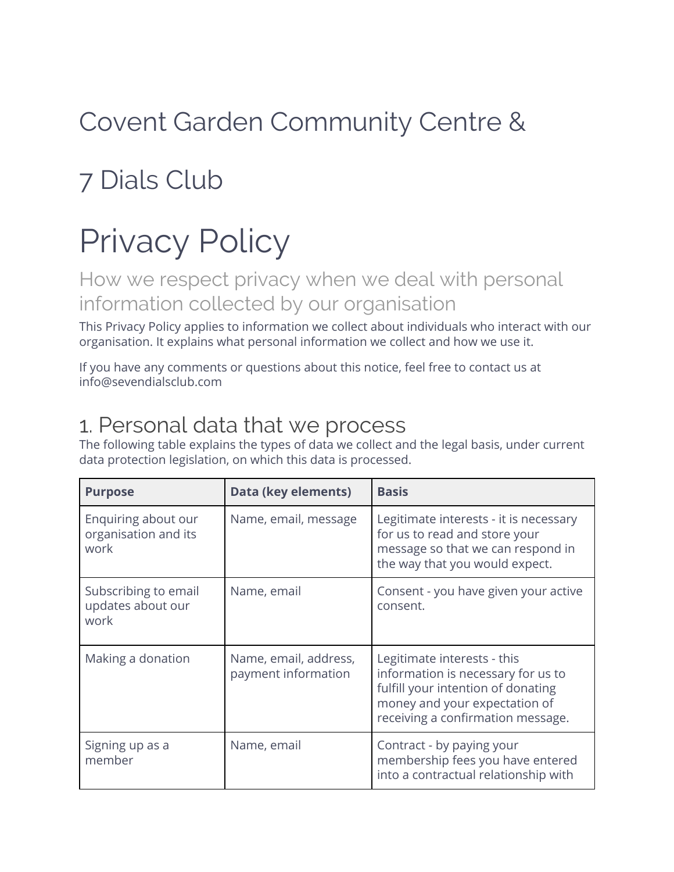## Covent Garden Community Centre &

## 7 Dials Club

# Privacy Policy

How we respect privacy when we deal with personal information collected by our organisation

This Privacy Policy applies to information we collect about individuals who interact with our organisation. It explains what personal information we collect and how we use it.

If you have any comments or questions about this notice, feel free to contact us at info@sevendialsclub.com

#### 1. Personal data that we process

The following table explains the types of data we collect and the legal basis, under current data protection legislation, on which this data is processed.

| <b>Purpose</b>                                      | Data (key elements)                          | <b>Basis</b>                                                                                                                                                                  |
|-----------------------------------------------------|----------------------------------------------|-------------------------------------------------------------------------------------------------------------------------------------------------------------------------------|
| Enquiring about our<br>organisation and its<br>work | Name, email, message                         | Legitimate interests - it is necessary<br>for us to read and store your<br>message so that we can respond in<br>the way that you would expect.                                |
| Subscribing to email<br>updates about our<br>work   | Name, email                                  | Consent - you have given your active<br>consent.                                                                                                                              |
| Making a donation                                   | Name, email, address,<br>payment information | Legitimate interests - this<br>information is necessary for us to<br>fulfill your intention of donating<br>money and your expectation of<br>receiving a confirmation message. |
| Signing up as a<br>member                           | Name, email                                  | Contract - by paying your<br>membership fees you have entered<br>into a contractual relationship with                                                                         |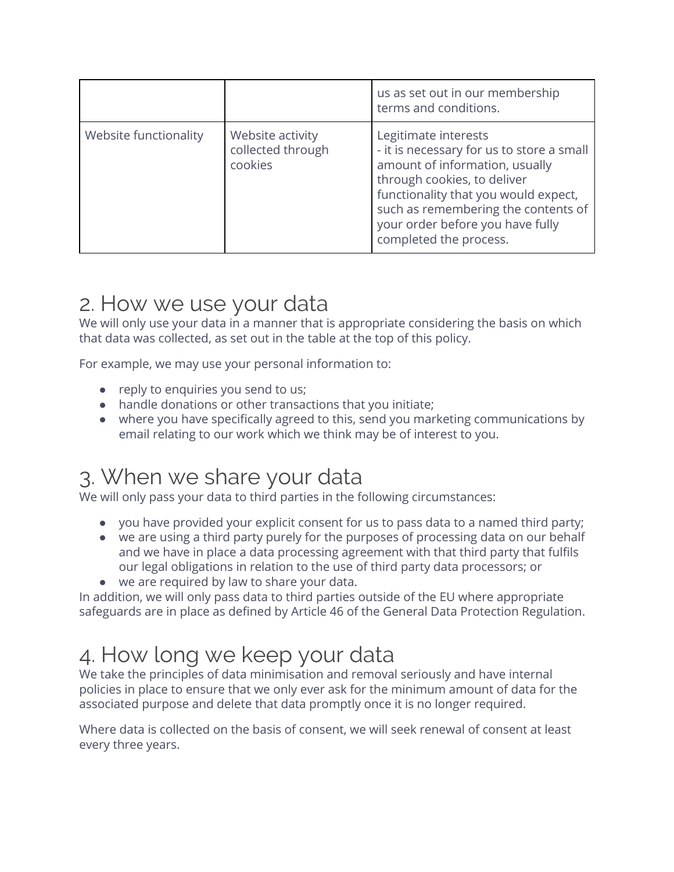|                       |                                                  | us as set out in our membership<br>terms and conditions.                                                                                                                                                                                                                        |
|-----------------------|--------------------------------------------------|---------------------------------------------------------------------------------------------------------------------------------------------------------------------------------------------------------------------------------------------------------------------------------|
| Website functionality | Website activity<br>collected through<br>cookies | Legitimate interests<br>- it is necessary for us to store a small<br>amount of information, usually<br>through cookies, to deliver<br>functionality that you would expect,<br>such as remembering the contents of<br>your order before you have fully<br>completed the process. |

#### 2. How we use your data

We will only use your data in a manner that is appropriate considering the basis on which that data was collected, as set out in the table at the top of this policy.

For example, we may use your personal information to:

- reply to enquiries you send to us;
- handle donations or other transactions that you initiate;
- where you have specifically agreed to this, send you marketing communications by email relating to our work which we think may be of interest to you.

#### 3. When we share your data

We will only pass your data to third parties in the following circumstances:

- you have provided your explicit consent for us to pass data to a named third party;
- we are using a third party purely for the purposes of processing data on our behalf and we have in place a data processing agreement with that third party that fulfils our legal obligations in relation to the use of third party data processors; or
- we are required by law to share your data.

In addition, we will only pass data to third parties outside of the EU where appropriate safeguards are in place as defined by Article 46 of the General Data Protection Regulation.

#### 4. How long we keep your data

We take the principles of data minimisation and removal seriously and have internal policies in place to ensure that we only ever ask for the minimum amount of data for the associated purpose and delete that data promptly once it is no longer required.

Where data is collected on the basis of consent, we will seek renewal of consent at least every three years.